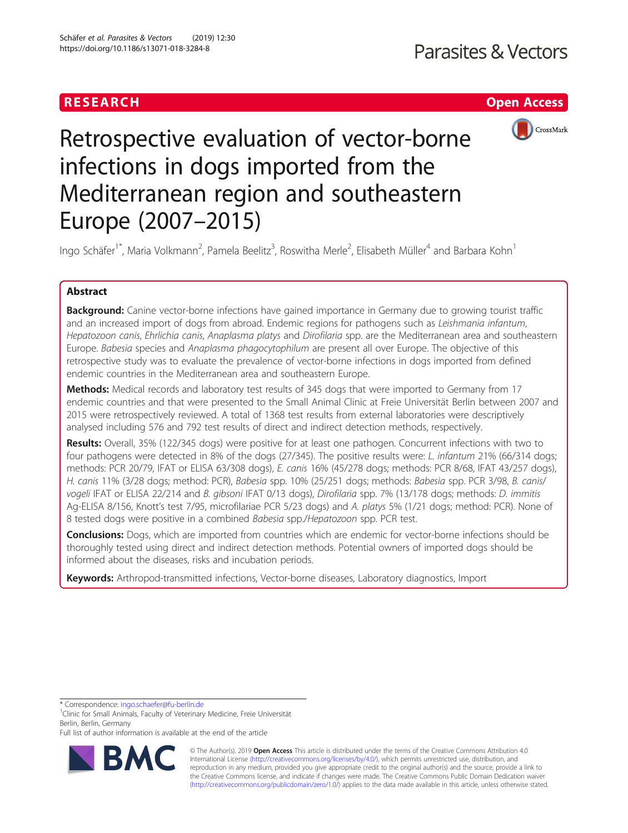# RESEARCH **RESEARCH CHOOSE INTERNATIONAL CONTRACT CONTRACT OF ACCESS**



# Retrospective evaluation of vector-borne infections in dogs imported from the Mediterranean region and southeastern Europe (2007–2015)

Ingo Schäfer<sup>1\*</sup>, Maria Volkmann<sup>2</sup>, Pamela Beelitz<sup>3</sup>, Roswitha Merle<sup>2</sup>, Elisabeth Müller<sup>4</sup> and Barbara Kohn<sup>1</sup>

# Abstract

Background: Canine vector-borne infections have gained importance in Germany due to growing tourist traffic and an increased import of dogs from abroad. Endemic regions for pathogens such as Leishmania infantum, Hepatozoon canis, Ehrlichia canis, Anaplasma platys and Dirofilaria spp. are the Mediterranean area and southeastern Europe. Babesia species and Anaplasma phagocytophilum are present all over Europe. The objective of this retrospective study was to evaluate the prevalence of vector-borne infections in dogs imported from defined endemic countries in the Mediterranean area and southeastern Europe.

Methods: Medical records and laboratory test results of 345 dogs that were imported to Germany from 17 endemic countries and that were presented to the Small Animal Clinic at Freie Universität Berlin between 2007 and 2015 were retrospectively reviewed. A total of 1368 test results from external laboratories were descriptively analysed including 576 and 792 test results of direct and indirect detection methods, respectively.

Results: Overall, 35% (122/345 dogs) were positive for at least one pathogen. Concurrent infections with two to four pathogens were detected in 8% of the dogs (27/345). The positive results were: L. infantum 21% (66/314 dogs; methods: PCR 20/79, IFAT or ELISA 63/308 dogs), E. canis 16% (45/278 dogs; methods: PCR 8/68, IFAT 43/257 dogs), H. canis 11% (3/28 dogs; method: PCR), Babesia spp. 10% (25/251 dogs; methods: Babesia spp. PCR 3/98, B. canis/ vogeli IFAT or ELISA 22/214 and B. gibsoni IFAT 0/13 dogs), Dirofilaria spp. 7% (13/178 dogs; methods: D. immitis Ag-ELISA 8/156, Knott's test 7/95, microfilariae PCR 5/23 dogs) and A. platys 5% (1/21 dogs; method: PCR). None of 8 tested dogs were positive in a combined Babesia spp./Hepatozoon spp. PCR test.

Conclusions: Dogs, which are imported from countries which are endemic for vector-borne infections should be thoroughly tested using direct and indirect detection methods. Potential owners of imported dogs should be informed about the diseases, risks and incubation periods.

Keywords: Arthropod-transmitted infections, Vector-borne diseases, Laboratory diagnostics, Import

\* Correspondence: [ingo.schaefer@fu-berlin.de](mailto:ingo.schaefer@fu-berlin.de) <sup>1</sup>

<sup>1</sup> Clinic for Small Animals, Faculty of Veterinary Medicine, Freie Universität Berlin, Berlin, Germany

Full list of author information is available at the end of the article



© The Author(s). 2019 **Open Access** This article is distributed under the terms of the Creative Commons Attribution 4.0 International License [\(http://creativecommons.org/licenses/by/4.0/](http://creativecommons.org/licenses/by/4.0/)), which permits unrestricted use, distribution, and reproduction in any medium, provided you give appropriate credit to the original author(s) and the source, provide a link to the Creative Commons license, and indicate if changes were made. The Creative Commons Public Domain Dedication waiver [\(http://creativecommons.org/publicdomain/zero/1.0/](http://creativecommons.org/publicdomain/zero/1.0/)) applies to the data made available in this article, unless otherwise stated.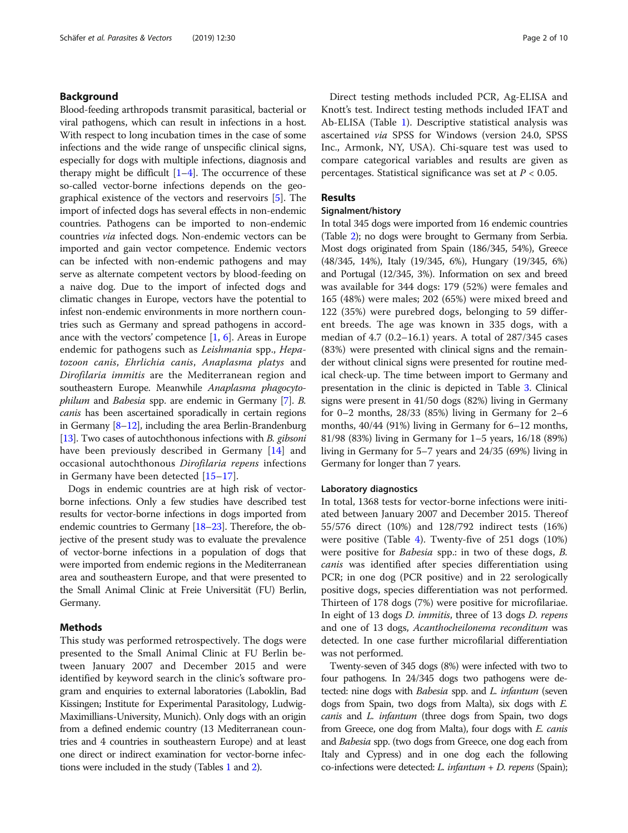# Background

Blood-feeding arthropods transmit parasitical, bacterial or viral pathogens, which can result in infections in a host. With respect to long incubation times in the case of some infections and the wide range of unspecific clinical signs, especially for dogs with multiple infections, diagnosis and therapy might be difficult  $[1-4]$  $[1-4]$  $[1-4]$ . The occurrence of these so-called vector-borne infections depends on the geographical existence of the vectors and reservoirs [\[5\]](#page-8-0). The import of infected dogs has several effects in non-endemic countries. Pathogens can be imported to non-endemic countries via infected dogs. Non-endemic vectors can be imported and gain vector competence. Endemic vectors can be infected with non-endemic pathogens and may serve as alternate competent vectors by blood-feeding on a naive dog. Due to the import of infected dogs and climatic changes in Europe, vectors have the potential to infest non-endemic environments in more northern countries such as Germany and spread pathogens in accordance with the vectors' competence [[1,](#page-7-0) [6\]](#page-8-0). Areas in Europe endemic for pathogens such as Leishmania spp., Hepatozoon canis, Ehrlichia canis, Anaplasma platys and Dirofilaria immitis are the Mediterranean region and southeastern Europe. Meanwhile Anaplasma phagocyto-philum and Babesia spp. are endemic in Germany [\[7\]](#page-8-0). B. canis has been ascertained sporadically in certain regions in Germany  $[8-12]$  $[8-12]$  $[8-12]$  $[8-12]$ , including the area Berlin-Brandenburg [[13](#page-8-0)]. Two cases of autochthonous infections with B. gibsoni have been previously described in Germany [[14](#page-8-0)] and occasional autochthonous Dirofilaria repens infections in Germany have been detected [[15](#page-8-0)–[17\]](#page-8-0).

Dogs in endemic countries are at high risk of vectorborne infections. Only a few studies have described test results for vector-borne infections in dogs imported from endemic countries to Germany [\[18](#page-8-0)–[23](#page-8-0)]. Therefore, the objective of the present study was to evaluate the prevalence of vector-borne infections in a population of dogs that were imported from endemic regions in the Mediterranean area and southeastern Europe, and that were presented to the Small Animal Clinic at Freie Universität (FU) Berlin, Germany.

# Methods

This study was performed retrospectively. The dogs were presented to the Small Animal Clinic at FU Berlin between January 2007 and December 2015 and were identified by keyword search in the clinic's software program and enquiries to external laboratories (Laboklin, Bad Kissingen; Institute for Experimental Parasitology, Ludwig-Maximillians-University, Munich). Only dogs with an origin from a defined endemic country (13 Mediterranean countries and 4 countries in southeastern Europe) and at least one direct or indirect examination for vector-borne infections were included in the study (Tables [1](#page-2-0) and [2](#page-3-0)).

Direct testing methods included PCR, Ag-ELISA and Knott's test. Indirect testing methods included IFAT and Ab-ELISA (Table [1\)](#page-2-0). Descriptive statistical analysis was ascertained via SPSS for Windows (version 24.0, SPSS Inc., Armonk, NY, USA). Chi-square test was used to compare categorical variables and results are given as percentages. Statistical significance was set at  $P < 0.05$ .

# Results

# Signalment/history

In total 345 dogs were imported from 16 endemic countries (Table [2](#page-3-0)); no dogs were brought to Germany from Serbia. Most dogs originated from Spain (186/345, 54%), Greece (48/345, 14%), Italy (19/345, 6%), Hungary (19/345, 6%) and Portugal (12/345, 3%). Information on sex and breed was available for 344 dogs: 179 (52%) were females and 165 (48%) were males; 202 (65%) were mixed breed and 122 (35%) were purebred dogs, belonging to 59 different breeds. The age was known in 335 dogs, with a median of 4.7 (0.2–16.1) years. A total of 287/345 cases (83%) were presented with clinical signs and the remainder without clinical signs were presented for routine medical check-up. The time between import to Germany and presentation in the clinic is depicted in Table [3](#page-3-0). Clinical signs were present in 41/50 dogs (82%) living in Germany for 0–2 months,  $28/33$  (85%) living in Germany for 2–6 months, 40/44 (91%) living in Germany for 6–12 months, 81/98 (83%) living in Germany for 1–5 years, 16/18 (89%) living in Germany for 5–7 years and 24/35 (69%) living in Germany for longer than 7 years.

#### Laboratory diagnostics

In total, 1368 tests for vector-borne infections were initiated between January 2007 and December 2015. Thereof 55/576 direct (10%) and 128/792 indirect tests (16%) were positive (Table [4\)](#page-4-0). Twenty-five of 251 dogs (10%) were positive for Babesia spp.: in two of these dogs, B. canis was identified after species differentiation using PCR; in one dog (PCR positive) and in 22 serologically positive dogs, species differentiation was not performed. Thirteen of 178 dogs (7%) were positive for microfilariae. In eight of 13 dogs D. immitis, three of 13 dogs D. repens and one of 13 dogs, Acanthocheilonema reconditum was detected. In one case further microfilarial differentiation was not performed.

Twenty-seven of 345 dogs (8%) were infected with two to four pathogens. In 24/345 dogs two pathogens were detected: nine dogs with *Babesia* spp. and *L. infantum* (seven dogs from Spain, two dogs from Malta), six dogs with E. canis and L. infantum (three dogs from Spain, two dogs from Greece, one dog from Malta), four dogs with *E. canis* and Babesia spp. (two dogs from Greece, one dog each from Italy and Cypress) and in one dog each the following co-infections were detected: *L. infantum*  $+ D$ . *repens* (Spain);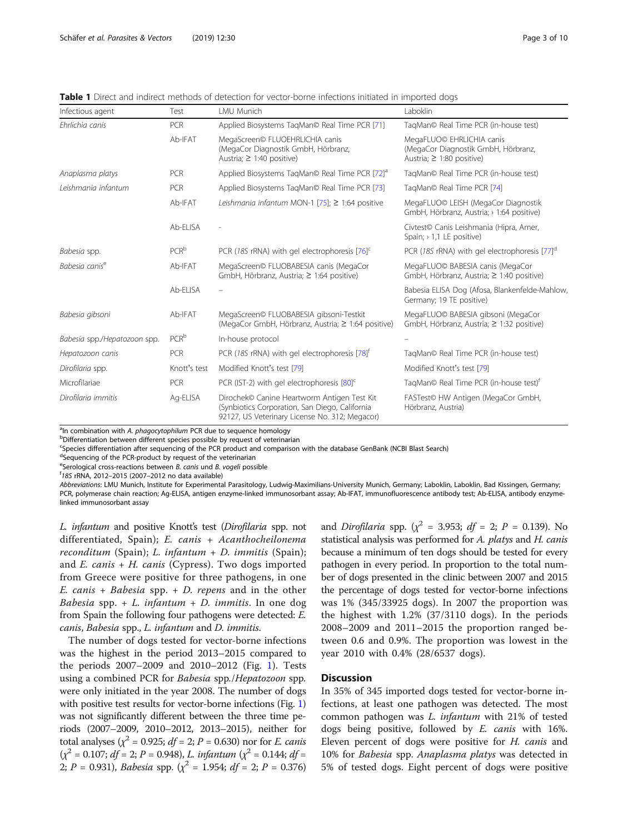| Infectious agent             | Test             | LMU Munich                                                                                                                                      | Laboklin                                                                                           |
|------------------------------|------------------|-------------------------------------------------------------------------------------------------------------------------------------------------|----------------------------------------------------------------------------------------------------|
| Ehrlichia canis              | <b>PCR</b>       | Applied Biosystems TagMan© Real Time PCR [71]                                                                                                   | TagMan© Real Time PCR (in-house test)                                                              |
|                              | Ab-IFAT          | MegaScreen© FLUOEHRLICHIA canis<br>(MegaCor Diagnostik GmbH, Hörbranz,<br>Austria; $\geq$ 1:40 positive)                                        | MegaFLUO© EHRLICHIA canis<br>(MegaCor Diagnostik GmbH, Hörbranz,<br>Austria; $\geq$ 1:80 positive) |
| Anaplasma platys             | <b>PCR</b>       | Applied Biosystems TagMan© Real Time PCR [72] <sup>a</sup>                                                                                      | TagMan© Real Time PCR (in-house test)                                                              |
| l eishmania infantum         | PCR              | Applied Biosystems TagMan© Real Time PCR [73]                                                                                                   | TagMan© Real Time PCR [74]                                                                         |
|                              | Ab-IFAT          | Leishmania infantum MON-1 [75]; $\geq$ 1:64 positive                                                                                            | MegaFLUO© LEISH (MegaCor Diagnostik<br>GmbH, Hörbranz, Austria; > 1:64 positive)                   |
|                              | Ab-ELISA         |                                                                                                                                                 | Civtest <sup>o</sup> Canis Leishmania (Hipra, Amer,<br>Spain; $> 1.1$ LE positive)                 |
| Babesia spp.                 | $PCR^b$          | PCR (18S rRNA) with gel electrophoresis [76] <sup>c</sup>                                                                                       | PCR (18S rRNA) with gel electrophoresis [77] <sup>d</sup>                                          |
| Babesia canis <sup>e</sup>   | Ab-IFAT          | MegaScreen© FLUOBABESIA canis (MegaCor<br>GmbH, Hörbranz, Austria; ≥ 1:64 positive)                                                             | MegaFLUO© BABESIA canis (MegaCor<br>GmbH, Hörbranz, Austria; ≥ 1:40 positive)                      |
|                              | Ab-ELISA         |                                                                                                                                                 | Babesia ELISA Dog (Afosa, Blankenfelde-Mahlow<br>Germany; 19 TE positive)                          |
| Babesia gibsoni              | Ab-IFAT          | MegaScreen© FLUOBABESIA gibsoni-Testkit<br>(MegaCor GmbH, Hörbranz, Austria; ≥ 1:64 positive)                                                   | MegaFLUO© BABESIA gibsoni (MegaCor<br>GmbH, Hörbranz, Austria; ≥ 1:32 positive)                    |
| Babesia spp./Hepatozoon spp. | PCR <sup>b</sup> | In-house protocol                                                                                                                               |                                                                                                    |
| Hepatozoon canis             | PCR              | PCR (18S rRNA) with gel electrophoresis [78] <sup>t</sup>                                                                                       | TagMan© Real Time PCR (in-house test)                                                              |
| Dirofilaria spp.             | Knott's test     | Modified Knott's test [79]                                                                                                                      | Modified Knott's test [79]                                                                         |
| Microfilariae                | <b>PCR</b>       | PCR (IST-2) with gel electrophoresis $[80]^\mathsf{C}$                                                                                          | TagMan© Real Time PCR (in-house test) <sup>†</sup>                                                 |
| Dirofilaria immitis          | Ag-ELISA         | Dirochek© Canine Heartworm Antigen Test Kit<br>(Synbiotics Corporation, San Diego, California<br>92127, US Veterinary License No. 312; Megacor) | FASTest© HW Antigen (MegaCor GmbH,<br>Hörbranz, Austria)                                           |

<span id="page-2-0"></span>Table 1 Direct and indirect methods of detection for vector-borne infections initiated in imported dogs

<sup>a</sup>ln combination with A. *phagocytophilum* PCR due to sequence homology<br><sup>b</sup>Differentiation between different species possible by request of veterinar

Differentiation between different species possible by request of veterinarian

c Species differentiation after sequencing of the PCR product and comparison with the database GenBank (NCBI Blast Search)

<sup>d</sup>Sequencing of the PCR-product by request of the veterinarian

<sup>e</sup>Serological cross-reactions between *B. canis* und *B. vogeli* possible<br>free rPNA 2012, 2015 (2007, 2012 no data available)

 $f$ 18S rRNA, 2012–2015 (2007–2012 no data available)

Abbreviations: LMU Munich, Institute for Experimental Parasitology, Ludwig-Maximilians-University Munich, Germany; Laboklin, Laboklin, Bad Kissingen, Germany; PCR, polymerase chain reaction; Ag-ELISA, antigen enzyme-linked immunosorbant assay; Ab-IFAT, immunofluorescence antibody test; Ab-ELISA, antibody enzymelinked immunosorbant assay

L. infantum and positive Knott's test (Dirofilaria spp. not differentiated, Spain); E. canis + Acanthocheilonema reconditum (Spain); L. infantum + D. immitis (Spain); and  $E.$  canis +  $H.$  canis (Cypress). Two dogs imported from Greece were positive for three pathogens, in one E. canis + Babesia spp.  $+$  D. repens and in the other Babesia spp. + L. infantum + D. immitis. In one dog from Spain the following four pathogens were detected: E. canis, Babesia spp., L. infantum and D. immitis.

The number of dogs tested for vector-borne infections was the highest in the period 2013–2015 compared to the periods 2007–2009 and 2010–2012 (Fig. [1](#page-4-0)). Tests using a combined PCR for Babesia spp./Hepatozoon spp. were only initiated in the year 2008. The number of dogs with positive test results for vector-borne infections (Fig. [1](#page-4-0)) was not significantly different between the three time periods (2007–2009, 2010–2012, 2013–2015), neither for total analyses ( $\chi^2$  = 0.925; *df* = 2; *P* = 0.630) nor for *E. canis*  $(\chi^2 = 0.107; df = 2; P = 0.948)$ , L. infantum  $(\chi^2 = 0.144; df = 0.144)$ 2;  $P = 0.931$ ), Babesia spp. ( $\chi^2 = 1.954$ ; df = 2;  $P = 0.376$ )

and *Dirofilaria* spp. ( $\chi^2$  = 3.953; *df* = 2; *P* = 0.139). No statistical analysis was performed for A. platys and H. canis because a minimum of ten dogs should be tested for every pathogen in every period. In proportion to the total number of dogs presented in the clinic between 2007 and 2015 the percentage of dogs tested for vector-borne infections was 1% (345/33925 dogs). In 2007 the proportion was the highest with 1.2% (37/3110 dogs). In the periods 2008–2009 and 2011–2015 the proportion ranged between 0.6 and 0.9%. The proportion was lowest in the year 2010 with 0.4% (28/6537 dogs).

## **Discussion**

In 35% of 345 imported dogs tested for vector-borne infections, at least one pathogen was detected. The most common pathogen was L. infantum with 21% of tested dogs being positive, followed by E. canis with 16%. Eleven percent of dogs were positive for H. canis and 10% for Babesia spp. Anaplasma platys was detected in 5% of tested dogs. Eight percent of dogs were positive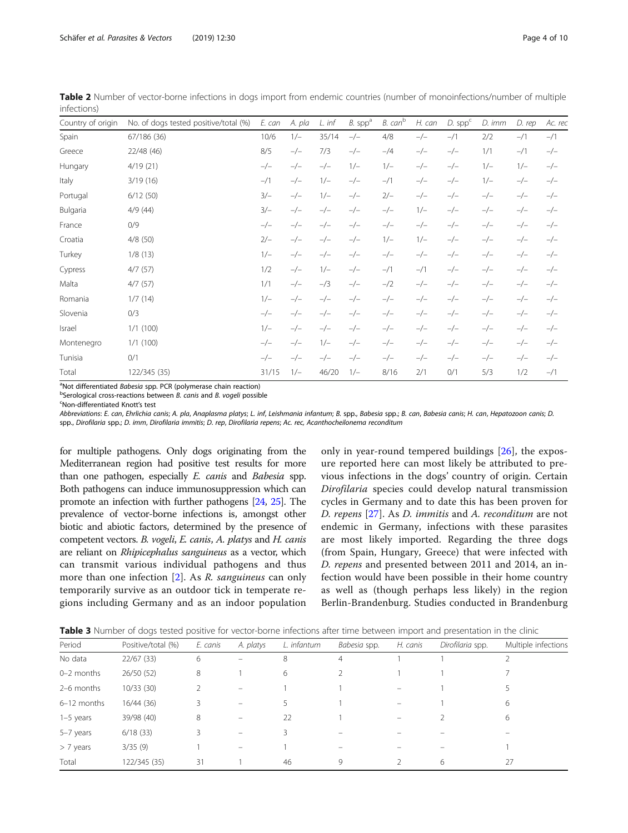| Country of origin | No. of dogs tested positive/total (%) | E. can | A. pla | L. inf | $B.$ spp <sup>a</sup> | B. can <sup>b</sup> | H. can | $D.$ spp $c$ | D. imm | D. rep | Ac. rec |
|-------------------|---------------------------------------|--------|--------|--------|-----------------------|---------------------|--------|--------------|--------|--------|---------|
| Spain             | 67/186 (36)                           | 10/6   | $1/-$  | 35/14  | $-/-$                 | 4/8                 | $-/-$  | $-1/1$       | 2/2    | $-1/1$ | $-1/1$  |
| Greece            | 22/48 (46)                            | 8/5    | $-/-$  | 7/3    | $-/-$                 | $-$ /4              | $-/-$  | $-/-$        | 1/1    | $-1/1$ | $-/-$   |
| Hungary           | 4/19(21)                              | $-/-$  | $-/-$  | $-/-$  | $1/-$                 | $1/-$               | $-/-$  | $-/-$        | $1/-$  | $1/-$  | $-/-$   |
| Italy             | 3/19(16)                              | $-1/1$ | $-/-$  | $1/-$  | $-/-$                 | $-1/1$              | $-/-$  | $-/-$        | $1/-$  | $-/-$  | $-/-$   |
| Portugal          | 6/12(50)                              | $3/-$  | $-/-$  | $1/-$  | $-/-$                 | $2/-$               | $-/-$  | $-/-$        | $-/-$  | $-/-$  | $-/-$   |
| Bulgaria          | 4/9(44)                               | $3/-$  | $-/-$  | $-/-$  | $-/-$                 | $-/-$               | $1/-$  | $-/-$        | $-/-$  | $-/-$  | $-/-$   |
| France            | 0/9                                   | $-/-$  | $-/-$  | $-/-$  | $-/-$                 | $-/-$               | $-/-$  | $-/-$        | $-/-$  | $-/-$  | $-/-$   |
| Croatia           | 4/8(50)                               | $2/-$  | $-/-$  | $-/-$  | $-/-$                 | $1/-$               | $1/-$  | $-/-$        | $-/-$  | $-/-$  | $-/-$   |
| Turkey            | 1/8(13)                               | $1/-$  | $-/-$  | $-/-$  | $-/-$                 | $-/-$               | $-/-$  | $-/-$        | $-/-$  | $-/-$  | $-/-$   |
| Cypress           | 4/7(57)                               | 1/2    | $-/-$  | $1/-$  | $-/-$                 | $-1/1$              | $-1/1$ | $-/-$        | $-/-$  | $-/-$  | $-/-$   |
| Malta             | 4/7(57)                               | 1/1    | $-/-$  | $-$ /3 | $-/-$                 | $-1/2$              | $-/-$  | $-/-$        | $-/-$  | $-/-$  | $-/-$   |
| Romania           | 1/7(14)                               | $1/-$  | $-/-$  | $-/-$  | $-/-$                 | $-/-$               | $-/-$  | $-/-$        | $-/-$  | $-/-$  | $-/-$   |
| Slovenia          | 0/3                                   | $-/-$  | $-/-$  | $-/-$  | $-/-$                 | $-/-$               | $-/-$  | $-/-$        | $-/-$  | $-/-$  | $-/-$   |
| Israel            | 1/1(100)                              | $1/-$  | $-/-$  | $-/-$  | $-/-$                 | $-/-$               | $-/-$  | $-/-$        | $-/-$  | $-/-$  | $-/-$   |
| Montenegro        | 1/1(100)                              | $-/-$  | $-/-$  | $1/-$  | $-/-$                 | $-/-$               | $-/-$  | $-/-$        | $-/-$  | $-/-$  | $-/-$   |
| Tunisia           | 0/1                                   | $-/-$  | $-/-$  | $-/-$  | $-/-$                 | $-/-$               | $-/-$  | $-/-$        | $-/-$  | $-/-$  | $-/-$   |
| Total             | 122/345 (35)                          | 31/15  | $1/-$  | 46/20  | $1/-$                 | 8/16                | 2/1    | 0/1          | 5/3    | 1/2    | $-1/1$  |

<span id="page-3-0"></span>Table 2 Number of vector-borne infections in dogs import from endemic countries (number of monoinfections/number of multiple infections)

<sup>a</sup>Not differentiated *Babesia* spp. PCR (polymerase chain reaction)<br><sup>b</sup>Serological cross-reactions between *B*, canis and *B*, vogeli possib

 $b$ Serological cross-reactions between B. canis and B. vogeli possible

Non-differentiated Knott's test

Abbreviations: E. can, Ehrlichia canis; A. pla, Anaplasma platys; L. inf, Leishmania infantum; B. spp., Babesia spp.; B. can, Babesia canis; H. can, Hepatozoon canis; D. spp., Dirofilaria spp.; D. imm, Dirofilaria immitis; D. rep, Dirofilaria repens; Ac. rec, Acanthocheilonema reconditum

for multiple pathogens. Only dogs originating from the Mediterranean region had positive test results for more than one pathogen, especially E. canis and Babesia spp. Both pathogens can induce immunosuppression which can promote an infection with further pathogens [\[24](#page-8-0), [25](#page-8-0)]. The prevalence of vector-borne infections is, amongst other biotic and abiotic factors, determined by the presence of competent vectors. B. vogeli, E. canis, A. platys and H. canis are reliant on Rhipicephalus sanguineus as a vector, which can transmit various individual pathogens and thus more than one infection [[2](#page-8-0)]. As R. sanguineus can only temporarily survive as an outdoor tick in temperate regions including Germany and as an indoor population

only in year-round tempered buildings [\[26](#page-8-0)], the exposure reported here can most likely be attributed to previous infections in the dogs' country of origin. Certain Dirofilaria species could develop natural transmission cycles in Germany and to date this has been proven for D. repens [[27\]](#page-8-0). As D. immitis and A. reconditum are not endemic in Germany, infections with these parasites are most likely imported. Regarding the three dogs (from Spain, Hungary, Greece) that were infected with D. repens and presented between 2011 and 2014, an infection would have been possible in their home country as well as (though perhaps less likely) in the region Berlin-Brandenburg. Studies conducted in Brandenburg

| Table 3 Number of dogs tested positive for vector-borne infections after time between import and presentation in the clinic |  |
|-----------------------------------------------------------------------------------------------------------------------------|--|
|-----------------------------------------------------------------------------------------------------------------------------|--|

| Period         | Positive/total (%) | E. canis | A. platys         | L. infantum | Babesia spp. | H. canis | Dirofilaria spp. | Multiple infections |
|----------------|--------------------|----------|-------------------|-------------|--------------|----------|------------------|---------------------|
| No data        | 22/67(33)          | 6        |                   | 8           | 4            |          |                  |                     |
| $0 - 2$ months | 26/50(52)          | 8        |                   | 6           | 2            |          |                  |                     |
| 2-6 months     | 10/33(30)          |          | $\qquad \qquad =$ |             |              |          |                  |                     |
| 6-12 months    | 16/44(36)          | 3        |                   |             |              |          |                  | 6                   |
| $1-5$ years    | 39/98 (40)         | 8        | $\qquad \qquad -$ | 22          |              |          |                  | 6                   |
| 5-7 years      | 6/18(33)           |          |                   |             |              |          |                  |                     |
| > 7 years      | 3/35(9)            |          |                   |             |              |          |                  |                     |
| Total          | 122/345 (35)       | 31       |                   | 46          | 9            |          | 6                | 27                  |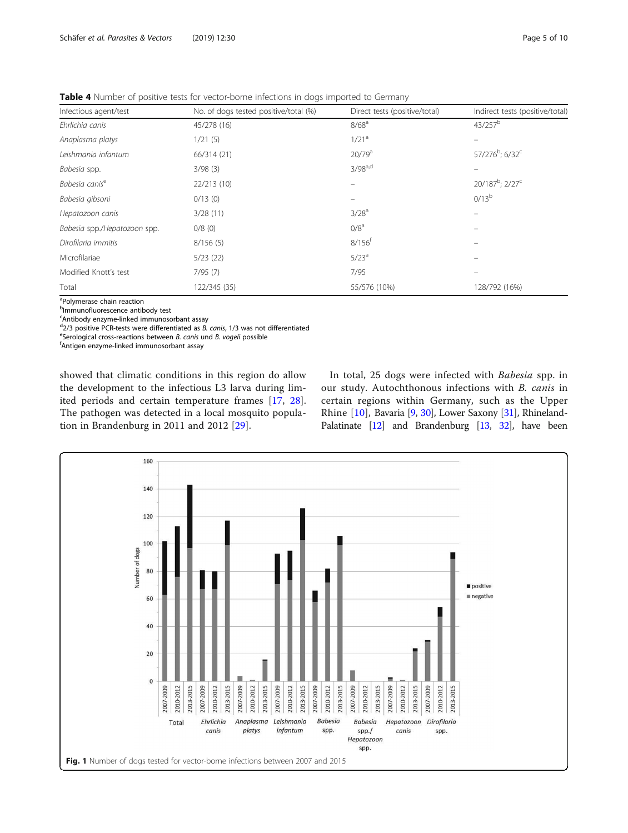| Infectious agent/test        | No. of dogs tested positive/total (%) | Direct tests (positive/total) | Indirect tests (positive/total)         |  |
|------------------------------|---------------------------------------|-------------------------------|-----------------------------------------|--|
| Ehrlichia canis              | 45/278 (16)                           | 8/68 <sup>a</sup>             | $43/257^b$                              |  |
| Anaplasma platys             | 1/21(5)                               | 1/21 <sup>a</sup>             |                                         |  |
| Leishmania infantum          | 66/314 (21)                           | 20/79 <sup>a</sup>            | 57/276 <sup>b</sup> ; 6/32 <sup>c</sup> |  |
| Babesia spp.                 | 3/98(3)                               | $3/98^{a,d}$                  |                                         |  |
| Babesia canis <sup>e</sup>   | 22/213 (10)                           |                               | 20/187 <sup>b</sup> ; 2/27 <sup>c</sup> |  |
| Babesia gibsoni              | 0/13(0)                               |                               | $0/13^{b}$                              |  |
| Hepatozoon canis             | 3/28(11)                              | 3/28 <sup>a</sup>             |                                         |  |
| Babesia spp./Hepatozoon spp. | 0/8(0)                                | 0/8 <sup>a</sup>              |                                         |  |
| Dirofilaria immitis          | 8/156(5)                              | $8/156$ <sup>f</sup>          |                                         |  |
| Microfilariae                | 5/23(22)                              | $5/23^a$                      |                                         |  |
| Modified Knott's test        | 7/95(7)                               | 7/95                          |                                         |  |
| Total                        | 122/345 (35)                          | 55/576 (10%)                  | 128/792 (16%)                           |  |

<span id="page-4-0"></span>Table 4 Number of positive tests for vector-borne infections in dogs imported to Germany

a Polymerase chain reaction

<sup>b</sup>lmmunofluorescence antibody test

<sup>c</sup>Antibody enzyme-linked immunosorbant assay

 $d_{2/3}$  positive PCR-tests were differentiated as *B. canis,* 1/3 was not differentiated  $e^{iS}$ 

 $e$ Serological cross-reactions between B. canis und B. vogeli possible

Antigen enzyme-linked immunosorbant assay

showed that climatic conditions in this region do allow the development to the infectious L3 larva during limited periods and certain temperature frames [[17](#page-8-0), [28](#page-8-0)]. The pathogen was detected in a local mosquito population in Brandenburg in 2011 and 2012 [[29\]](#page-8-0).

In total, 25 dogs were infected with Babesia spp. in our study. Autochthonous infections with B. canis in certain regions within Germany, such as the Upper Rhine [[10](#page-8-0)], Bavaria [\[9](#page-8-0), [30\]](#page-8-0), Lower Saxony [\[31\]](#page-8-0), Rhineland-Palatinate [\[12](#page-8-0)] and Brandenburg [\[13](#page-8-0), [32\]](#page-8-0), have been

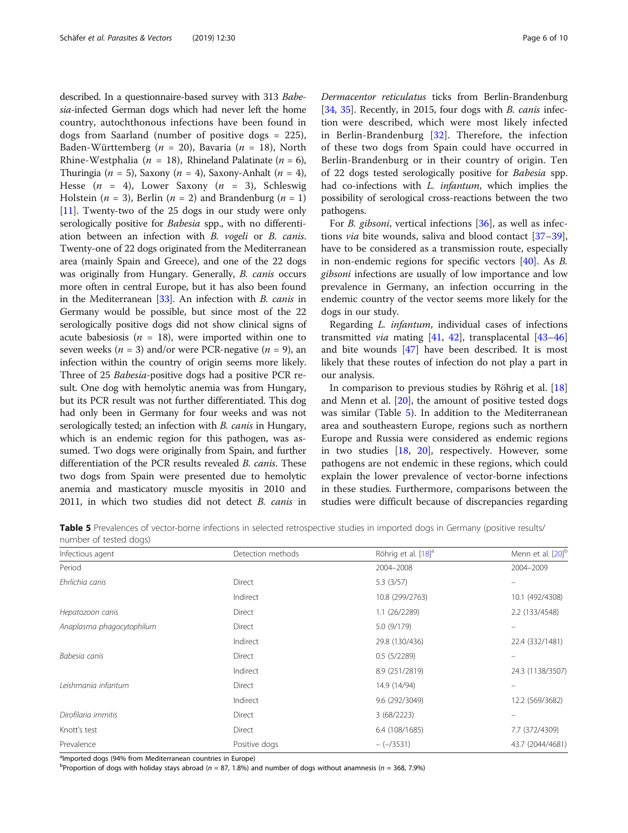<span id="page-5-0"></span>described. In a questionnaire-based survey with 313 Babesia-infected German dogs which had never left the home country, autochthonous infections have been found in dogs from Saarland (number of positive dogs = 225), Baden-Württemberg ( $n = 20$ ), Bavaria ( $n = 18$ ), North Rhine-Westphalia ( $n = 18$ ), Rhineland Palatinate ( $n = 6$ ), Thuringia ( $n = 5$ ), Saxony ( $n = 4$ ), Saxony-Anhalt ( $n = 4$ ), Hesse  $(n = 4)$ , Lower Saxony  $(n = 3)$ , Schleswig Holstein ( $n = 3$ ), Berlin ( $n = 2$ ) and Brandenburg ( $n = 1$ ) [[11](#page-8-0)]. Twenty-two of the 25 dogs in our study were only serologically positive for *Babesia* spp., with no differentiation between an infection with B. vogeli or B. canis. Twenty-one of 22 dogs originated from the Mediterranean area (mainly Spain and Greece), and one of the 22 dogs was originally from Hungary. Generally, B. canis occurs more often in central Europe, but it has also been found in the Mediterranean [\[33\]](#page-8-0). An infection with B. canis in Germany would be possible, but since most of the 22 serologically positive dogs did not show clinical signs of acute babesiosis ( $n = 18$ ), were imported within one to seven weeks ( $n = 3$ ) and/or were PCR-negative ( $n = 9$ ), an infection within the country of origin seems more likely. Three of 25 Babesia-positive dogs had a positive PCR result. One dog with hemolytic anemia was from Hungary, but its PCR result was not further differentiated. This dog had only been in Germany for four weeks and was not serologically tested; an infection with *B. canis* in Hungary, which is an endemic region for this pathogen, was assumed. Two dogs were originally from Spain, and further differentiation of the PCR results revealed B. canis. These two dogs from Spain were presented due to hemolytic anemia and masticatory muscle myositis in 2010 and 2011, in which two studies did not detect B. canis in Dermacentor reticulatus ticks from Berlin-Brandenburg [[34](#page-8-0), [35\]](#page-8-0). Recently, in 2015, four dogs with *B. canis* infection were described, which were most likely infected in Berlin-Brandenburg  $[32]$  $[32]$ . Therefore, the infection of these two dogs from Spain could have occurred in Berlin-Brandenburg or in their country of origin. Ten of 22 dogs tested serologically positive for Babesia spp. had co-infections with L. infantum, which implies the possibility of serological cross-reactions between the two pathogens.

For *B. gibsoni*, vertical infections [\[36\]](#page-8-0), as well as infections *via* bite wounds, saliva and blood contact  $[37-39]$  $[37-39]$  $[37-39]$  $[37-39]$  $[37-39]$ , have to be considered as a transmission route, especially in non-endemic regions for specific vectors [\[40\]](#page-8-0). As B. gibsoni infections are usually of low importance and low prevalence in Germany, an infection occurring in the endemic country of the vector seems more likely for the dogs in our study.

Regarding L. infantum, individual cases of infections transmitted *via* mating [\[41](#page-8-0), [42\]](#page-8-0), transplacental [[43](#page-8-0)-[46](#page-8-0)] and bite wounds [\[47](#page-8-0)] have been described. It is most likely that these routes of infection do not play a part in our analysis.

In comparison to previous studies by Röhrig et al. [[18](#page-8-0)] and Menn et al. [\[20\]](#page-8-0), the amount of positive tested dogs was similar (Table 5). In addition to the Mediterranean area and southeastern Europe, regions such as northern Europe and Russia were considered as endemic regions in two studies [[18](#page-8-0), [20\]](#page-8-0), respectively. However, some pathogens are not endemic in these regions, which could explain the lower prevalence of vector-borne infections in these studies. Furthermore, comparisons between the studies were difficult because of discrepancies regarding

Table 5 Prevalences of vector-borne infections in selected retrospective studies in imported dogs in Germany (positive results/ number of tested dogs)

| Infectious agent          | Detection methods | Röhrig et al. [18] <sup>a</sup> | Menn et al. [20] <sup>b</sup> |
|---------------------------|-------------------|---------------------------------|-------------------------------|
| Period                    |                   | 2004-2008                       | 2004-2009                     |
| Ehrlichia canis           | <b>Direct</b>     | 5.3(3/57)                       |                               |
|                           | Indirect          | 10.8 (299/2763)                 | 10.1 (492/4308)               |
| Hepatozoon canis          | <b>Direct</b>     | 1.1(26/2289)                    | 2.2 (133/4548)                |
| Anaplasma phagocytophilum | Direct            | 5.0 (9/179)                     |                               |
|                           | Indirect          | 29.8 (130/436)                  | 22.4 (332/1481)               |
| Babesia canis             | Direct            | 0.5(5/2289)                     |                               |
|                           | Indirect          | 8.9 (251/2819)                  | 24.3 (1138/3507)              |
| Leishmania infantum       | <b>Direct</b>     | 14.9 (14/94)                    |                               |
|                           | Indirect          | 9.6 (292/3049)                  | 12.2 (569/3682)               |
| Dirofilaria immitis       | Direct            | 3(68/2223)                      |                               |
| Knott's test              | Direct            | 6.4 (108/1685)                  | 7.7 (372/4309)                |
| Prevalence                | Positive dogs     | $-(-/3531)$                     | 43.7 (2044/4681)              |

<sup>a</sup>lmported dogs (94% from Mediterranean countries in Europe)

<sup>b</sup>Proportion of dogs with holiday stays abroad ( $n = 87, 1.8\%$ ) and number of dogs without anamnesis ( $n = 368, 7.9\%$ )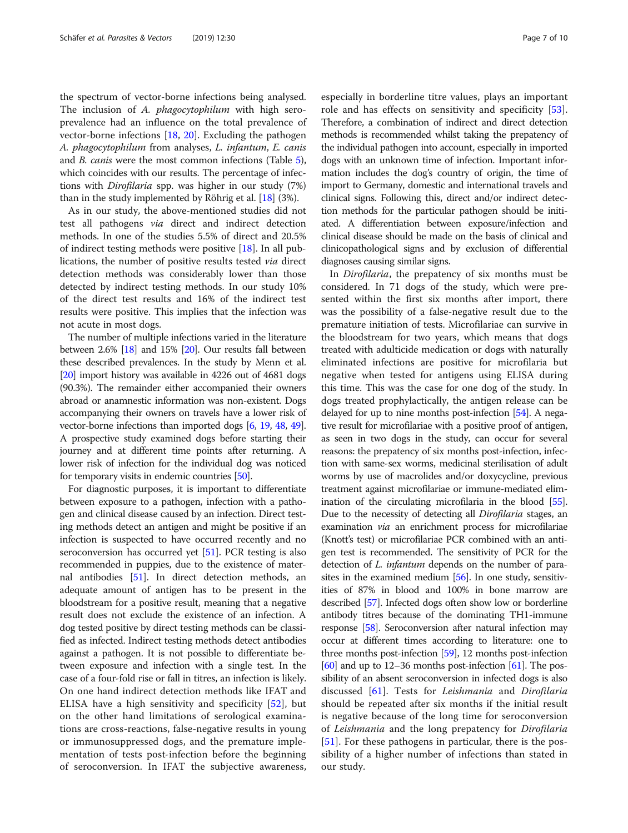the spectrum of vector-borne infections being analysed. The inclusion of A. phagocytophilum with high seroprevalence had an influence on the total prevalence of vector-borne infections [[18,](#page-8-0) [20](#page-8-0)]. Excluding the pathogen A. phagocytophilum from analyses, L. infantum, E. canis and B. canis were the most common infections (Table [5](#page-5-0)), which coincides with our results. The percentage of infections with Dirofilaria spp. was higher in our study (7%) than in the study implemented by Röhrig et al. [\[18](#page-8-0)] (3%).

As in our study, the above-mentioned studies did not test all pathogens via direct and indirect detection methods. In one of the studies 5.5% of direct and 20.5% of indirect testing methods were positive [\[18](#page-8-0)]. In all publications, the number of positive results tested via direct detection methods was considerably lower than those detected by indirect testing methods. In our study 10% of the direct test results and 16% of the indirect test results were positive. This implies that the infection was not acute in most dogs.

The number of multiple infections varied in the literature between 2.6% [[18](#page-8-0)] and 15% [\[20\]](#page-8-0). Our results fall between these described prevalences. In the study by Menn et al. [[20](#page-8-0)] import history was available in 4226 out of 4681 dogs (90.3%). The remainder either accompanied their owners abroad or anamnestic information was non-existent. Dogs accompanying their owners on travels have a lower risk of vector-borne infections than imported dogs [[6](#page-8-0), [19](#page-8-0), [48,](#page-8-0) [49](#page-8-0)]. A prospective study examined dogs before starting their journey and at different time points after returning. A lower risk of infection for the individual dog was noticed for temporary visits in endemic countries [\[50](#page-9-0)].

For diagnostic purposes, it is important to differentiate between exposure to a pathogen, infection with a pathogen and clinical disease caused by an infection. Direct testing methods detect an antigen and might be positive if an infection is suspected to have occurred recently and no seroconversion has occurred yet [[51\]](#page-9-0). PCR testing is also recommended in puppies, due to the existence of maternal antibodies [\[51\]](#page-9-0). In direct detection methods, an adequate amount of antigen has to be present in the bloodstream for a positive result, meaning that a negative result does not exclude the existence of an infection. A dog tested positive by direct testing methods can be classified as infected. Indirect testing methods detect antibodies against a pathogen. It is not possible to differentiate between exposure and infection with a single test. In the case of a four-fold rise or fall in titres, an infection is likely. On one hand indirect detection methods like IFAT and ELISA have a high sensitivity and specificity [[52\]](#page-9-0), but on the other hand limitations of serological examinations are cross-reactions, false-negative results in young or immunosuppressed dogs, and the premature implementation of tests post-infection before the beginning of seroconversion. In IFAT the subjective awareness, especially in borderline titre values, plays an important role and has effects on sensitivity and specificity [\[53](#page-9-0)]. Therefore, a combination of indirect and direct detection methods is recommended whilst taking the prepatency of the individual pathogen into account, especially in imported dogs with an unknown time of infection. Important information includes the dog's country of origin, the time of import to Germany, domestic and international travels and clinical signs. Following this, direct and/or indirect detection methods for the particular pathogen should be initiated. A differentiation between exposure/infection and clinical disease should be made on the basis of clinical and clinicopathological signs and by exclusion of differential diagnoses causing similar signs.

In Dirofilaria, the prepatency of six months must be considered. In 71 dogs of the study, which were presented within the first six months after import, there was the possibility of a false-negative result due to the premature initiation of tests. Microfilariae can survive in the bloodstream for two years, which means that dogs treated with adulticide medication or dogs with naturally eliminated infections are positive for microfilaria but negative when tested for antigens using ELISA during this time. This was the case for one dog of the study. In dogs treated prophylactically, the antigen release can be delayed for up to nine months post-infection [\[54\]](#page-9-0). A negative result for microfilariae with a positive proof of antigen, as seen in two dogs in the study, can occur for several reasons: the prepatency of six months post-infection, infection with same-sex worms, medicinal sterilisation of adult worms by use of macrolides and/or doxycycline, previous treatment against microfilariae or immune-mediated elimination of the circulating microfilaria in the blood [[55](#page-9-0)]. Due to the necessity of detecting all Dirofilaria stages, an examination via an enrichment process for microfilariae (Knott's test) or microfilariae PCR combined with an antigen test is recommended. The sensitivity of PCR for the detection of *L. infantum* depends on the number of parasites in the examined medium [\[56\]](#page-9-0). In one study, sensitivities of 87% in blood and 100% in bone marrow are described [\[57\]](#page-9-0). Infected dogs often show low or borderline antibody titres because of the dominating TH1-immune response [\[58\]](#page-9-0). Seroconversion after natural infection may occur at different times according to literature: one to three months post-infection [\[59\]](#page-9-0), 12 months post-infection  $[60]$  $[60]$  $[60]$  and up to 12–36 months post-infection  $[61]$ . The possibility of an absent seroconversion in infected dogs is also discussed [[61\]](#page-9-0). Tests for Leishmania and Dirofilaria should be repeated after six months if the initial result is negative because of the long time for seroconversion of Leishmania and the long prepatency for Dirofilaria [[51](#page-9-0)]. For these pathogens in particular, there is the possibility of a higher number of infections than stated in our study.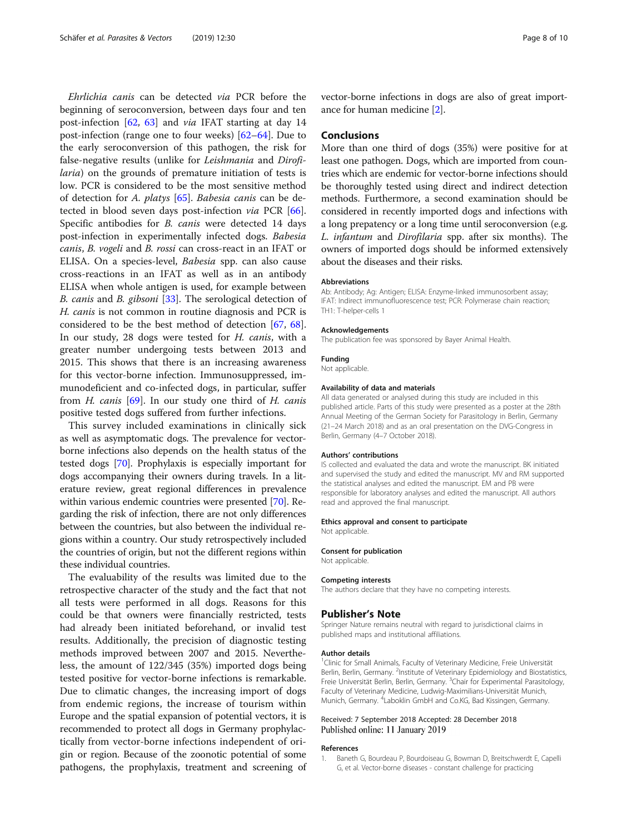<span id="page-7-0"></span>Ehrlichia canis can be detected via PCR before the beginning of seroconversion, between days four and ten post-infection [[62,](#page-9-0) [63](#page-9-0)] and via IFAT starting at day 14 post-infection (range one to four weeks) [\[62](#page-9-0)–[64](#page-9-0)]. Due to the early seroconversion of this pathogen, the risk for false-negative results (unlike for Leishmania and Dirofilaria) on the grounds of premature initiation of tests is low. PCR is considered to be the most sensitive method of detection for A. platys [[65\]](#page-9-0). Babesia canis can be detected in blood seven days post-infection via PCR [\[66](#page-9-0)]. Specific antibodies for *B. canis* were detected 14 days post-infection in experimentally infected dogs. Babesia canis, B. vogeli and B. rossi can cross-react in an IFAT or ELISA. On a species-level, Babesia spp. can also cause cross-reactions in an IFAT as well as in an antibody ELISA when whole antigen is used, for example between B. canis and B. gibsoni [[33\]](#page-8-0). The serological detection of H. canis is not common in routine diagnosis and PCR is considered to be the best method of detection [[67](#page-9-0), [68](#page-9-0)]. In our study, 28 dogs were tested for H. canis, with a greater number undergoing tests between 2013 and 2015. This shows that there is an increasing awareness for this vector-borne infection. Immunosuppressed, immunodeficient and co-infected dogs, in particular, suffer from  $H$ . canis [[69\]](#page-9-0). In our study one third of  $H$ . canis positive tested dogs suffered from further infections.

This survey included examinations in clinically sick as well as asymptomatic dogs. The prevalence for vectorborne infections also depends on the health status of the tested dogs [\[70\]](#page-9-0). Prophylaxis is especially important for dogs accompanying their owners during travels. In a literature review, great regional differences in prevalence within various endemic countries were presented [\[70\]](#page-9-0). Regarding the risk of infection, there are not only differences between the countries, but also between the individual regions within a country. Our study retrospectively included the countries of origin, but not the different regions within these individual countries.

The evaluability of the results was limited due to the retrospective character of the study and the fact that not all tests were performed in all dogs. Reasons for this could be that owners were financially restricted, tests had already been initiated beforehand, or invalid test results. Additionally, the precision of diagnostic testing methods improved between 2007 and 2015. Nevertheless, the amount of 122/345 (35%) imported dogs being tested positive for vector-borne infections is remarkable. Due to climatic changes, the increasing import of dogs from endemic regions, the increase of tourism within Europe and the spatial expansion of potential vectors, it is recommended to protect all dogs in Germany prophylactically from vector-borne infections independent of origin or region. Because of the zoonotic potential of some pathogens, the prophylaxis, treatment and screening of vector-borne infections in dogs are also of great importance for human medicine [[2](#page-8-0)].

#### Conclusions

More than one third of dogs (35%) were positive for at least one pathogen. Dogs, which are imported from countries which are endemic for vector-borne infections should be thoroughly tested using direct and indirect detection methods. Furthermore, a second examination should be considered in recently imported dogs and infections with a long prepatency or a long time until seroconversion (e.g. L. infantum and Dirofilaria spp. after six months). The owners of imported dogs should be informed extensively about the diseases and their risks.

#### Abbreviations

Ab: Antibody; Ag: Antigen; ELISA: Enzyme-linked immunosorbent assay; IFAT: Indirect immunofluorescence test; PCR: Polymerase chain reaction; TH1: T-helper-cells 1

#### Acknowledgements

The publication fee was sponsored by Bayer Animal Health.

#### Funding

Not applicable.

## Availability of data and materials

All data generated or analysed during this study are included in this published article. Parts of this study were presented as a poster at the 28th Annual Meeting of the German Society for Parasitology in Berlin, Germany (21–24 March 2018) and as an oral presentation on the DVG-Congress in Berlin, Germany (4–7 October 2018).

#### Authors' contributions

IS collected and evaluated the data and wrote the manuscript. BK initiated and supervised the study and edited the manuscript. MV and RM supported the statistical analyses and edited the manuscript. EM and PB were responsible for laboratory analyses and edited the manuscript. All authors read and approved the final manuscript.

#### Ethics approval and consent to participate Not applicable.

Consent for publication

Not applicable.

#### Competing interests

The authors declare that they have no competing interests.

#### Publisher's Note

Springer Nature remains neutral with regard to jurisdictional claims in published maps and institutional affiliations.

#### Author details

<sup>1</sup> Clinic for Small Animals, Faculty of Veterinary Medicine, Freie Universität Berlin, Berlin, Germany. <sup>2</sup>Institute of Veterinary Epidemiology and Biostatistics, Freie Universität Berlin, Berlin, Germany. <sup>3</sup>Chair for Experimental Parasitology, Faculty of Veterinary Medicine, Ludwig-Maximilians-Universität Munich, Munich, Germany. <sup>4</sup>Laboklin GmbH and Co.KG, Bad Kissingen, Germany.

#### Received: 7 September 2018 Accepted: 28 December 2018 Published online: 11 January 2019

#### References

1. Baneth G, Bourdeau P, Bourdoiseau G, Bowman D, Breitschwerdt E, Capelli G, et al. Vector-borne diseases - constant challenge for practicing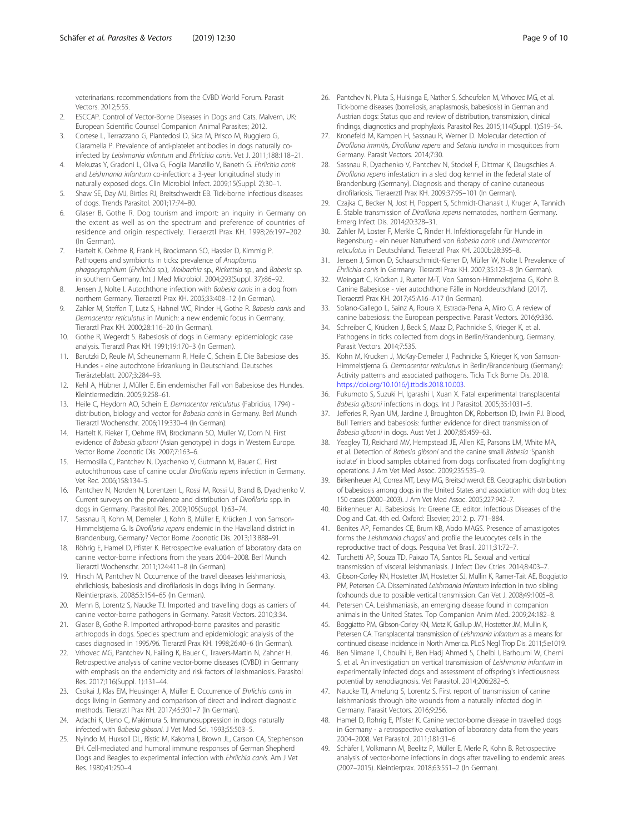<span id="page-8-0"></span>veterinarians: recommendations from the CVBD World Forum. Parasit Vectors. 2012;5:55.

- 2. ESCCAP. Control of Vector-Borne Diseases in Dogs and Cats. Malvern, UK: European Scientific Counsel Companion Animal Parasites; 2012.
- 3. Cortese L, Terrazzano G, Piantedosi D, Sica M, Prisco M, Ruggiero G, Ciaramella P. Prevalence of anti-platelet antibodies in dogs naturally coinfected by Leishmania infantum and Ehrlichia canis. Vet J. 2011;188:118–21.
- 4. Mekuzas Y, Gradoni L, Oliva G, Foglia Manzillo V, Baneth G. Ehrlichia canis and Leishmania infantum co-infection: a 3-year longitudinal study in naturally exposed dogs. Clin Microbiol Infect. 2009;15(Suppl. 2):30–1.
- 5. Shaw SE, Day MJ, Birtles RJ, Breitschwerdt EB. Tick-borne infectious diseases of dogs. Trends Parasitol. 2001;17:74–80.
- 6. Glaser B, Gothe R. Dog tourism and import: an inquiry in Germany on the extent as well as on the spectrum and preference of countries of residence and origin respectively. Tieraerztl Prax KH. 1998;26:197–202 (In German).
- 7. Hartelt K, Oehme R, Frank H, Brockmann SO, Hassler D, Kimmig P. Pathogens and symbionts in ticks: prevalence of Anaplasma phagocytophilum (Ehrlichia sp.), Wolbachia sp., Rickettsia sp., and Babesia sp. in southern Germany. Int J Med Microbiol. 2004;293(Suppl. 37):86–92.
- 8. Jensen J, Nolte I. Autochthone infection with Babesia canis in a dog from northern Germany. Tieraerztl Prax KH. 2005;33:408–12 (In German).
- Zahler M, Steffen T, Lutz S, Hahnel WC, Rinder H, Gothe R. Babesia canis and Dermacentor reticulatus in Munich: a new endemic focus in Germany. Tierarztl Prax KH. 2000;28:116–20 (In German).
- 10. Gothe R, Wegerdt S. Babesiosis of dogs in Germany: epidemiologic case analysis. Tierarztl Prax KH. 1991;19:170–3 (In German).
- 11. Barutzki D, Reule M, Scheunemann R, Heile C, Schein E. Die Babesiose des Hundes - eine autochtone Erkrankung in Deutschland. Deutsches Tierärzteblatt. 2007;3:284–93.
- 12. Kehl A, Hübner J, Müller E. Ein endemischer Fall von Babesiose des Hundes. Kleintiermedizin. 2005;9:258–61.
- 13. Heile C, Heydorn AO, Schein E. Dermacentor reticulatus (Fabricius, 1794) distribution, biology and vector for Babesia canis in Germany. Berl Munch Tierarztl Wochenschr. 2006;119:330–4 (In German).
- 14. Hartelt K, Rieker T, Oehme RM, Brockmann SO, Muller W, Dorn N. First evidence of Babesia gibsoni (Asian genotype) in dogs in Western Europe. Vector Borne Zoonotic Dis. 2007;7:163–6.
- 15. Hermosilla C, Pantchev N, Dyachenko V, Gutmann M, Bauer C. First autochthonous case of canine ocular Dirofilaria repens infection in Germany. Vet Rec. 2006;158:134–5.
- 16. Pantchev N, Norden N, Lorentzen L, Rossi M, Rossi U, Brand B, Dyachenko V. Current surveys on the prevalence and distribution of Dirofilaria spp. in dogs in Germany. Parasitol Res. 2009;105(Suppl. 1):63–74.
- 17. Sassnau R, Kohn M, Demeler J, Kohn B, Müller E, Krücken J. von Samson-Himmelstjerna G. Is Dirofilaria repens endemic in the Havelland district in Brandenburg, Germany? Vector Borne Zoonotic Dis. 2013;13:888–91.
- 18. Röhrig E, Hamel D, Pfister K. Retrospective evaluation of laboratory data on canine vector-borne infections from the years 2004–2008. Berl Munch Tierarztl Wochenschr. 2011;124:411–8 (In German).
- 19. Hirsch M, Pantchev N. Occurrence of the travel diseases leishmaniosis, ehrlichiosis, babesiosis and dirofilariosis in dogs living in Germany. Kleintierpraxis. 2008;53:154–65 (In German).
- 20. Menn B, Lorentz S, Naucke TJ. Imported and travelling dogs as carriers of canine vector-borne pathogens in Germany. Parasit Vectors. 2010;3:34.
- 21. Glaser B, Gothe R. Imported arthropod-borne parasites and parasitic arthropods in dogs. Species spectrum and epidemiologic analysis of the cases diagnosed in 1995/96. Tierarztl Prax KH. 1998;26:40–6 (In German).
- 22. Vrhovec MG, Pantchev N, Failing K, Bauer C, Travers-Martin N, Zahner H. Retrospective analysis of canine vector-borne diseases (CVBD) in Germany with emphasis on the endemicity and risk factors of leishmaniosis. Parasitol Res. 2017;116(Suppl. 1):131–44.
- 23. Csokai J, Klas EM, Heusinger A, Müller E. Occurrence of Ehrlichia canis in dogs living in Germany and comparison of direct and indirect diagnostic methods. Tierarztl Prax KH. 2017;45:301–7 (In German).
- 24. Adachi K, Ueno C, Makimura S. Immunosuppression in dogs naturally infected with Babesia gibsoni. J Vet Med Sci. 1993;55:503–5.
- 25. Nyindo M, Huxsoll DL, Ristic M, Kakoma I, Brown JL, Carson CA, Stephenson EH. Cell-mediated and humoral immune responses of German Shepherd Dogs and Beagles to experimental infection with Ehrlichia canis. Am J Vet Res. 1980;41:250–4.
- 26. Pantchev N, Pluta S, Huisinga E, Nather S, Scheufelen M, Vrhovec MG, et al. Tick-borne diseases (borreliosis, anaplasmosis, babesiosis) in German and Austrian dogs: Status quo and review of distribution, transmission, clinical findings, diagnostics and prophylaxis. Parasitol Res. 2015;114(Suppl. 1):S19–54.
- 27. Kronefeld M, Kampen H, Sassnau R, Werner D. Molecular detection of Dirofilaria immitis, Dirofilaria repens and Setaria tundra in mosquitoes from Germany. Parasit Vectors. 2014;7:30.
- 28. Sassnau R, Dyachenko V, Pantchev N, Stockel F, Dittmar K, Daugschies A. Dirofilaria repens infestation in a sled dog kennel in the federal state of Brandenburg (Germany). Diagnosis and therapy of canine cutaneous dirofilariosis. Tieraerztl Prax KH. 2009;37:95–101 (In German).
- 29. Czajka C, Becker N, Jost H, Poppert S, Schmidt-Chanasit J, Kruger A, Tannich E. Stable transmission of Dirofilaria repens nematodes, northern Germany. Emerg Infect Dis. 2014;20:328–31.
- 30. Zahler M, Loster F, Merkle C, Rinder H. Infektionsgefahr für Hunde in Regensburg - ein neuer Naturherd von Babesia canis und Dermacentor reticulatus in Deutschland. Tieraerztl Prax KH. 2000b;28:395–8.
- Jensen J, Simon D, Schaarschmidt-Kiener D, Müller W, Nolte I. Prevalence of Ehrlichia canis in Germany. Tierarztl Prax KH. 2007;35:123–8 (In German).
- 32. Weingart C, Krücken J, Rueter M-T, Von Samson-Himmelstjerna G, Kohn B. Canine Babesiose - vier autochthone Fälle in Norddeutschland (2017). Tieraerztl Prax KH. 2017;45:A16–A17 (In German).
- 33. Solano-Gallego L, Sainz A, Roura X, Estrada-Pena A, Miro G. A review of canine babesiosis: the European perspective. Parasit Vectors. 2016;9:336.
- Schreiber C, Krücken J, Beck S, Maaz D, Pachnicke S, Krieger K, et al. Pathogens in ticks collected from dogs in Berlin/Brandenburg, Germany. Parasit Vectors. 2014;7:535.
- 35. Kohn M, Krucken J, McKay-Demeler J, Pachnicke S, Krieger K, von Samson-Himmelstjerna G. Dermacentor reticulatus in Berlin/Brandenburg (Germany): Activity patterns and associated pathogens. Ticks Tick Borne Dis. 2018. [https://doi.org/10.1016/j.ttbdis.2018.10.003.](https://doi.org/10.1016/j.ttbdis.2018.10.003)
- 36. Fukumoto S, Suzuki H, Igarashi I, Xuan X. Fatal experimental transplacental Babesia gibsoni infections in dogs. Int J Parasitol. 2005;35:1031–5.
- 37. Jefferies R, Ryan UM, Jardine J, Broughton DK, Robertson ID, Irwin PJ. Blood, Bull Terriers and babesiosis: further evidence for direct transmission of Babesia gibsoni in dogs. Aust Vet J. 2007;85:459–63.
- 38. Yeagley TJ, Reichard MV, Hempstead JE, Allen KE, Parsons LM, White MA, et al. Detection of Babesia gibsoni and the canine small Babesia 'Spanish isolate' in blood samples obtained from dogs confiscated from dogfighting operations. J Am Vet Med Assoc. 2009;235:535–9.
- 39. Birkenheuer AJ, Correa MT, Levy MG, Breitschwerdt EB. Geographic distribution of babesiosis among dogs in the United States and association with dog bites: 150 cases (2000–2003). J Am Vet Med Assoc. 2005;227:942–7.
- 40. Birkenheuer AJ. Babesiosis. In: Greene CE, editor. Infectious Diseases of the Dog and Cat. 4th ed. Oxford: Elsevier; 2012. p. 771–884.
- 41. Benites AP, Fernandes CE, Brum KB, Abdo MAGS. Presence of amastigotes forms the Leishmania chagasi and profile the leucocytes cells in the reproductive tract of dogs. Pesquisa Vet Brasil. 2011;31:72–7.
- 42. Turchetti AP, Souza TD, Paixao TA, Santos RL. Sexual and vertical transmission of visceral leishmaniasis. J Infect Dev Ctries. 2014;8:403–7.
- 43. Gibson-Corley KN, Hostetter JM, Hostetter SJ, Mullin K, Ramer-Tait AE, Boggiatto PM, Petersen CA. Disseminated Leishmania infantum infection in two sibling foxhounds due to possible vertical transmission. Can Vet J. 2008;49:1005–8.
- 44. Petersen CA. Leishmaniasis, an emerging disease found in companion animals in the United States. Top Companion Anim Med. 2009;24:182–8.
- 45. Boggiatto PM, Gibson-Corley KN, Metz K, Gallup JM, Hostetter JM, Mullin K, Petersen CA. Transplacental transmission of Leishmania infantum as a means for continued disease incidence in North America. PLoS Negl Trop Dis. 2011;5:e1019.
- 46. Ben Slimane T, Chouihi E, Ben Hadj Ahmed S, Chelbi I, Barhoumi W, Cherni S, et al. An investigation on vertical transmission of Leishmania infantum in experimentally infected dogs and assessment of offspring's infectiousness potential by xenodiagnosis. Vet Parasitol. 2014;206:282–6.
- 47. Naucke TJ, Amelung S, Lorentz S. First report of transmission of canine leishmaniosis through bite wounds from a naturally infected dog in Germany. Parasit Vectors. 2016;9:256.
- 48. Hamel D, Rohrig E, Pfister K. Canine vector-borne disease in travelled dogs in Germany - a retrospective evaluation of laboratory data from the years 2004–2008. Vet Parasitol. 2011;181:31–6.
- 49. Schäfer I, Volkmann M, Beelitz P, Müller E, Merle R, Kohn B. Retrospective analysis of vector-borne infections in dogs after travelling to endemic areas (2007–2015). Kleintierprax. 2018;63:551–2 (In German).